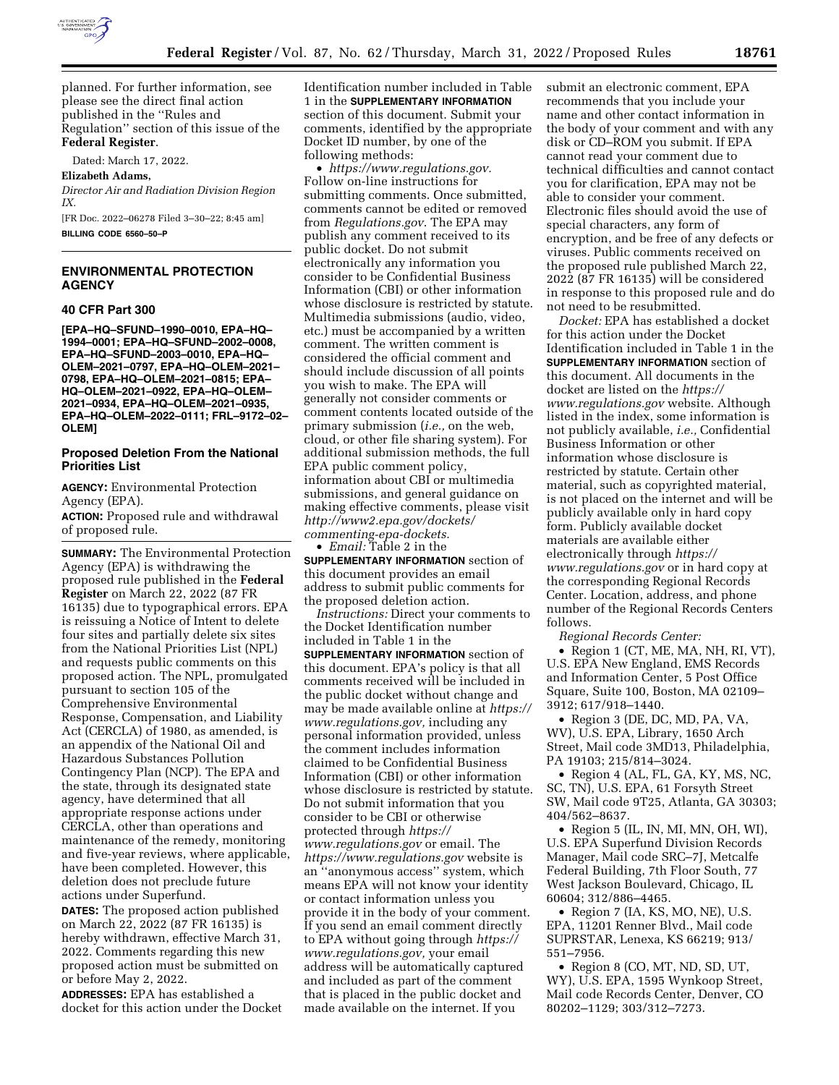

planned. For further information, see please see the direct final action published in the ''Rules and Regulation'' section of this issue of the **Federal Register**.

Dated: March 17, 2022.

**Elizabeth Adams,** 

*Director Air and Radiation Division Region IX.* 

[FR Doc. 2022–06278 Filed 3–30–22; 8:45 am] **BILLING CODE 6560–50–P** 

# **ENVIRONMENTAL PROTECTION AGENCY**

## **40 CFR Part 300**

**[EPA–HQ–SFUND–1990–0010, EPA–HQ– 1994–0001; EPA–HQ–SFUND–2002–0008, EPA–HQ–SFUND–2003–0010, EPA–HQ– OLEM–2021–0797, EPA–HQ–OLEM–2021– 0798, EPA–HQ–OLEM–2021–0815; EPA– HQ–OLEM–2021–0922, EPA–HQ–OLEM– 2021–0934, EPA–HQ–OLEM–2021–0935, EPA–HQ–OLEM–2022–0111; FRL–9172–02– OLEM]** 

## **Proposed Deletion From the National Priorities List**

**AGENCY:** Environmental Protection Agency (EPA).

**ACTION:** Proposed rule and withdrawal of proposed rule.

**SUMMARY:** The Environmental Protection Agency (EPA) is withdrawing the proposed rule published in the **Federal Register** on March 22, 2022 (87 FR 16135) due to typographical errors. EPA is reissuing a Notice of Intent to delete four sites and partially delete six sites from the National Priorities List (NPL) and requests public comments on this proposed action. The NPL, promulgated pursuant to section 105 of the Comprehensive Environmental Response, Compensation, and Liability Act (CERCLA) of 1980, as amended, is an appendix of the National Oil and Hazardous Substances Pollution Contingency Plan (NCP). The EPA and the state, through its designated state agency, have determined that all appropriate response actions under CERCLA, other than operations and maintenance of the remedy, monitoring and five-year reviews, where applicable, have been completed. However, this deletion does not preclude future actions under Superfund.

**DATES:** The proposed action published on March 22, 2022 (87 FR 16135) is hereby withdrawn, effective March 31, 2022. Comments regarding this new proposed action must be submitted on or before May 2, 2022.

**ADDRESSES:** EPA has established a docket for this action under the Docket Identification number included in Table 1 in the **SUPPLEMENTARY INFORMATION** section of this document. Submit your comments, identified by the appropriate Docket ID number, by one of the following methods:

• *[https://www.regulations.gov.](https://www.regulations.gov)*  Follow on-line instructions for submitting comments. Once submitted, comments cannot be edited or removed from *Regulations.gov*. The EPA may publish any comment received to its public docket. Do not submit electronically any information you consider to be Confidential Business Information (CBI) or other information whose disclosure is restricted by statute. Multimedia submissions (audio, video, etc.) must be accompanied by a written comment. The written comment is considered the official comment and should include discussion of all points you wish to make. The EPA will generally not consider comments or comment contents located outside of the primary submission (*i.e.,* on the web, cloud, or other file sharing system). For additional submission methods, the full EPA public comment policy, information about CBI or multimedia submissions, and general guidance on making effective comments, please visit *[http://www2.epa.gov/dockets/](http://www2.epa.gov/dockets/commenting-epa-dockets)  [commenting-epa-dockets.](http://www2.epa.gov/dockets/commenting-epa-dockets)*  • *Email:* Table 2 in the

**SUPPLEMENTARY INFORMATION** section of this document provides an email address to submit public comments for the proposed deletion action.

*Instructions:* Direct your comments to the Docket Identification number included in Table 1 in the **SUPPLEMENTARY INFORMATION** section of this document. EPA's policy is that all comments received will be included in the public docket without change and may be made available online at *[https://](https://www.regulations.gov)  [www.regulations.gov,](https://www.regulations.gov)* including any personal information provided, unless the comment includes information claimed to be Confidential Business Information (CBI) or other information whose disclosure is restricted by statute. Do not submit information that you consider to be CBI or otherwise protected through *[https://](https://www.regulations.gov) [www.regulations.gov](https://www.regulations.gov)* or email. The *<https://www.regulations.gov>* website is an ''anonymous access'' system, which means EPA will not know your identity or contact information unless you provide it in the body of your comment. If you send an email comment directly to EPA without going through *[https://](https://www.regulations.gov) [www.regulations.gov,](https://www.regulations.gov)* your email address will be automatically captured and included as part of the comment that is placed in the public docket and made available on the internet. If you

submit an electronic comment, EPA recommends that you include your name and other contact information in the body of your comment and with any disk or CD–ROM you submit. If EPA cannot read your comment due to technical difficulties and cannot contact you for clarification, EPA may not be able to consider your comment. Electronic files should avoid the use of special characters, any form of encryption, and be free of any defects or viruses. Public comments received on the proposed rule published March 22, 2022 (87 FR 16135) will be considered in response to this proposed rule and do not need to be resubmitted.

*Docket:* EPA has established a docket for this action under the Docket Identification included in Table 1 in the **SUPPLEMENTARY INFORMATION** section of this document. All documents in the docket are listed on the *[https://](https://www.regulations.gov) [www.regulations.gov](https://www.regulations.gov)* website. Although listed in the index, some information is not publicly available, *i.e.,* Confidential Business Information or other information whose disclosure is restricted by statute. Certain other material, such as copyrighted material, is not placed on the internet and will be publicly available only in hard copy form. Publicly available docket materials are available either electronically through *[https://](https://www.regulations.gov) [www.regulations.gov](https://www.regulations.gov)* or in hard copy at the corresponding Regional Records Center. Location, address, and phone number of the Regional Records Centers follows.

*Regional Records Center:* 

• Region 1 (CT, ME, MA, NH, RI, VT), U.S. EPA New England, EMS Records and Information Center, 5 Post Office Square, Suite 100, Boston, MA 02109– 3912; 617/918–1440.

• Region 3 (DE, DC, MD, PA, VA, WV), U.S. EPA, Library, 1650 Arch Street, Mail code 3MD13, Philadelphia, PA 19103; 215/814–3024.

• Region 4 (AL, FL, GA, KY, MS, NC, SC, TN), U.S. EPA, 61 Forsyth Street SW, Mail code 9T25, Atlanta, GA 30303; 404/562–8637.

• Region 5 (IL, IN, MI, MN, OH, WI), U.S. EPA Superfund Division Records Manager, Mail code SRC–7J, Metcalfe Federal Building, 7th Floor South, 77 West Jackson Boulevard, Chicago, IL 60604; 312/886–4465.

• Region 7 (IA, KS, MO, NE), U.S. EPA, 11201 Renner Blvd., Mail code SUPRSTAR, Lenexa, KS 66219; 913/ 551–7956.

• Region 8 (CO, MT, ND, SD, UT, WY), U.S. EPA, 1595 Wynkoop Street, Mail code Records Center, Denver, CO 80202–1129; 303/312–7273.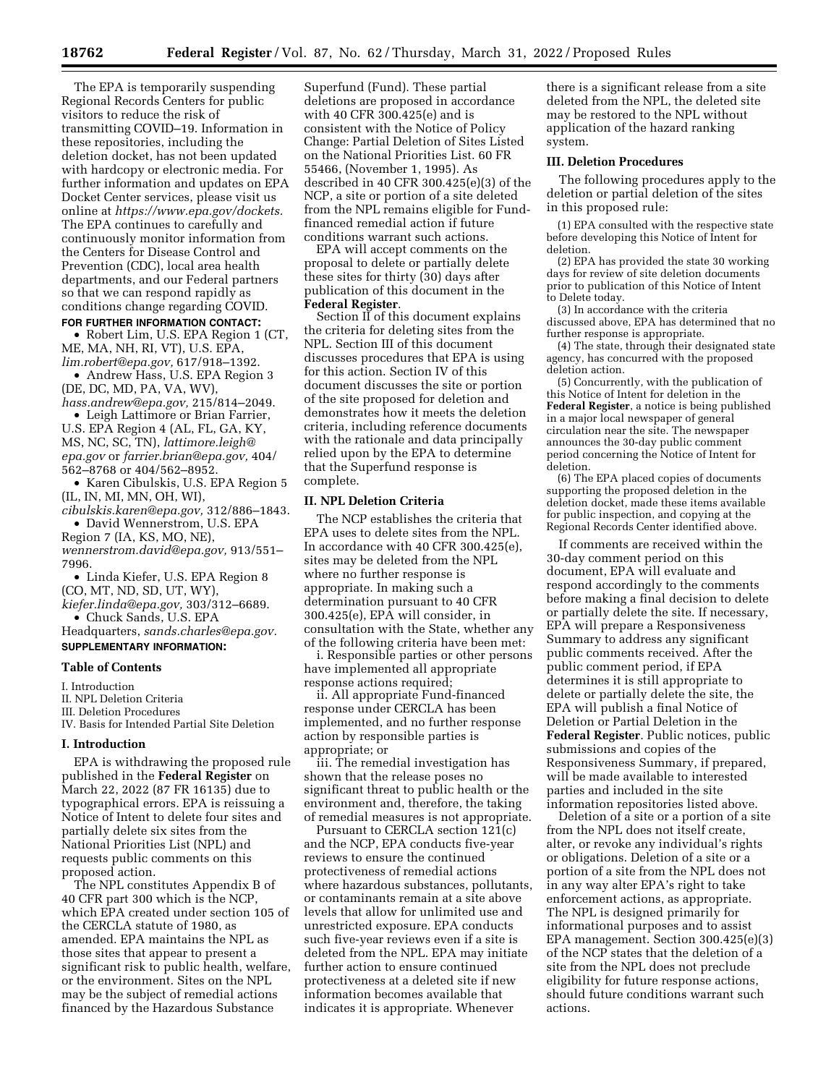The EPA is temporarily suspending Regional Records Centers for public visitors to reduce the risk of transmitting COVID–19. Information in these repositories, including the deletion docket, has not been updated with hardcopy or electronic media. For further information and updates on EPA Docket Center services, please visit us online at *[https://www.epa.gov/dockets.](https://www.epa.gov/dockets)*  The EPA continues to carefully and continuously monitor information from the Centers for Disease Control and Prevention (CDC), local area health departments, and our Federal partners so that we can respond rapidly as conditions change regarding COVID. **FOR FURTHER INFORMATION CONTACT:** 

• Robert Lim, U.S. EPA Region 1 (CT, ME, MA, NH, RI, VT), U.S. EPA, *[lim.robert@epa.gov,](mailto:lim.robert@epa.gov)* 617/918–1392.

• Andrew Hass, U.S. EPA Region 3 (DE, DC, MD, PA, VA, WV),

*[hass.andrew@epa.gov,](mailto:hass.andrew@epa.gov)* 215/814–2049. • Leigh Lattimore or Brian Farrier,

U.S. EPA Region 4 (AL, FL, GA, KY, MS, NC, SC, TN), *[lattimore.leigh@](mailto:lattimore.leigh@epa.gov) [epa.gov](mailto:lattimore.leigh@epa.gov)* or *[farrier.brian@epa.gov,](mailto:farrier.brian@epa.gov)* 404/ 562–8768 or 404/562–8952.

• Karen Cibulskis, U.S. EPA Region 5 (IL, IN, MI, MN, OH, WI),

*[cibulskis.karen@epa.gov,](mailto:cibulskis.karen@epa.gov)* 312/886–1843. • David Wennerstrom, U.S. EPA

Region 7 (IA, KS, MO, NE), *[wennerstrom.david@epa.gov,](mailto:wennerstrom.david@epa.gov)* 913/551– 7996.

• Linda Kiefer, U.S. EPA Region 8 (CO, MT, ND, SD, UT, WY),

*[kiefer.linda@epa.gov,](mailto:kiefer.linda@epa.gov)* 303/312–6689. • Chuck Sands, U.S. EPA

Headquarters, *[sands.charles@epa.gov.](mailto:sands.charles@epa.gov)*  **SUPPLEMENTARY INFORMATION:** 

### **Table of Contents**

I. Introduction

II. NPL Deletion Criteria

III. Deletion Procedures

IV. Basis for Intended Partial Site Deletion

## **I. Introduction**

EPA is withdrawing the proposed rule published in the **Federal Register** on March 22, 2022 (87 FR 16135) due to typographical errors. EPA is reissuing a Notice of Intent to delete four sites and partially delete six sites from the National Priorities List (NPL) and requests public comments on this proposed action.

The NPL constitutes Appendix B of 40 CFR part 300 which is the NCP, which EPA created under section 105 of the CERCLA statute of 1980, as amended. EPA maintains the NPL as those sites that appear to present a significant risk to public health, welfare, or the environment. Sites on the NPL may be the subject of remedial actions financed by the Hazardous Substance

Superfund (Fund). These partial deletions are proposed in accordance with 40 CFR 300.425(e) and is consistent with the Notice of Policy Change: Partial Deletion of Sites Listed on the National Priorities List. 60 FR 55466, (November 1, 1995). As described in 40 CFR 300.425(e)(3) of the NCP, a site or portion of a site deleted from the NPL remains eligible for Fundfinanced remedial action if future conditions warrant such actions.

EPA will accept comments on the proposal to delete or partially delete these sites for thirty (30) days after publication of this document in the **Federal Register**.

Section II of this document explains the criteria for deleting sites from the NPL. Section III of this document discusses procedures that EPA is using for this action. Section IV of this document discusses the site or portion of the site proposed for deletion and demonstrates how it meets the deletion criteria, including reference documents with the rationale and data principally relied upon by the EPA to determine that the Superfund response is complete.

## **II. NPL Deletion Criteria**

The NCP establishes the criteria that EPA uses to delete sites from the NPL. In accordance with 40 CFR 300.425(e), sites may be deleted from the NPL where no further response is appropriate. In making such a determination pursuant to 40 CFR 300.425(e), EPA will consider, in consultation with the State, whether any of the following criteria have been met:

i. Responsible parties or other persons have implemented all appropriate response actions required;

ii. All appropriate Fund-financed response under CERCLA has been implemented, and no further response action by responsible parties is appropriate; or

iii. The remedial investigation has shown that the release poses no significant threat to public health or the environment and, therefore, the taking of remedial measures is not appropriate.

Pursuant to CERCLA section 121(c) and the NCP, EPA conducts five-year reviews to ensure the continued protectiveness of remedial actions where hazardous substances, pollutants, or contaminants remain at a site above levels that allow for unlimited use and unrestricted exposure. EPA conducts such five-year reviews even if a site is deleted from the NPL. EPA may initiate further action to ensure continued protectiveness at a deleted site if new information becomes available that indicates it is appropriate. Whenever

there is a significant release from a site deleted from the NPL, the deleted site may be restored to the NPL without application of the hazard ranking system.

#### **III. Deletion Procedures**

The following procedures apply to the deletion or partial deletion of the sites in this proposed rule:

(1) EPA consulted with the respective state before developing this Notice of Intent for deletion.

(2) EPA has provided the state 30 working days for review of site deletion documents prior to publication of this Notice of Intent to Delete today.

(3) In accordance with the criteria discussed above, EPA has determined that no further response is appropriate.

(4) The state, through their designated state agency, has concurred with the proposed deletion action.

(5) Concurrently, with the publication of this Notice of Intent for deletion in the **Federal Register**, a notice is being published in a major local newspaper of general circulation near the site. The newspaper announces the 30-day public comment period concerning the Notice of Intent for deletion.

(6) The EPA placed copies of documents supporting the proposed deletion in the deletion docket, made these items available for public inspection, and copying at the Regional Records Center identified above.

If comments are received within the 30-day comment period on this document, EPA will evaluate and respond accordingly to the comments before making a final decision to delete or partially delete the site. If necessary, EPA will prepare a Responsiveness Summary to address any significant public comments received. After the public comment period, if EPA determines it is still appropriate to delete or partially delete the site, the EPA will publish a final Notice of Deletion or Partial Deletion in the **Federal Register**. Public notices, public submissions and copies of the Responsiveness Summary, if prepared, will be made available to interested parties and included in the site information repositories listed above.

Deletion of a site or a portion of a site from the NPL does not itself create, alter, or revoke any individual's rights or obligations. Deletion of a site or a portion of a site from the NPL does not in any way alter EPA's right to take enforcement actions, as appropriate. The NPL is designed primarily for informational purposes and to assist EPA management. Section 300.425(e)(3) of the NCP states that the deletion of a site from the NPL does not preclude eligibility for future response actions, should future conditions warrant such actions.